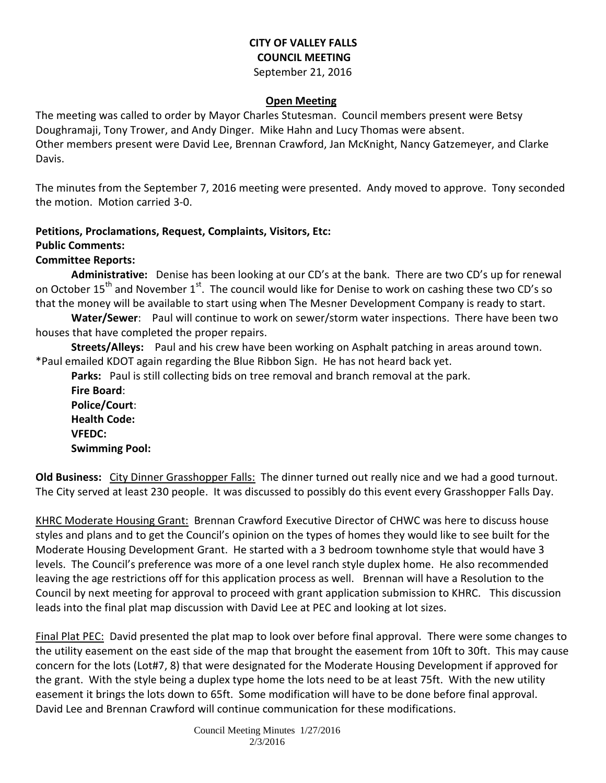### **CITY OF VALLEY FALLS COUNCIL MEETING** September 21, 2016

#### **Open Meeting**

The meeting was called to order by Mayor Charles Stutesman. Council members present were Betsy Doughramaji, Tony Trower, and Andy Dinger. Mike Hahn and Lucy Thomas were absent. Other members present were David Lee, Brennan Crawford, Jan McKnight, Nancy Gatzemeyer, and Clarke Davis.

The minutes from the September 7, 2016 meeting were presented. Andy moved to approve. Tony seconded the motion. Motion carried 3-0.

## **Petitions, Proclamations, Request, Complaints, Visitors, Etc:**

### **Public Comments:**

### **Committee Reports:**

**Administrative:** Denise has been looking at our CD's at the bank. There are two CD's up for renewal on October 15<sup>th</sup> and November 1<sup>st</sup>. The council would like for Denise to work on cashing these two CD's so that the money will be available to start using when The Mesner Development Company is ready to start.

**Water/Sewer**: Paul will continue to work on sewer/storm water inspections. There have been two houses that have completed the proper repairs.

**Streets/Alleys:** Paul and his crew have been working on Asphalt patching in areas around town. \*Paul emailed KDOT again regarding the Blue Ribbon Sign. He has not heard back yet.

**Parks:** Paul is still collecting bids on tree removal and branch removal at the park. **Fire Board**: **Police/Court**: **Health Code: VFEDC:** 

**Swimming Pool:** 

**Old Business:** City Dinner Grasshopper Falls: The dinner turned out really nice and we had a good turnout. The City served at least 230 people. It was discussed to possibly do this event every Grasshopper Falls Day.

KHRC Moderate Housing Grant: Brennan Crawford Executive Director of CHWC was here to discuss house styles and plans and to get the Council's opinion on the types of homes they would like to see built for the Moderate Housing Development Grant. He started with a 3 bedroom townhome style that would have 3 levels. The Council's preference was more of a one level ranch style duplex home. He also recommended leaving the age restrictions off for this application process as well. Brennan will have a Resolution to the Council by next meeting for approval to proceed with grant application submission to KHRC. This discussion leads into the final plat map discussion with David Lee at PEC and looking at lot sizes.

Final Plat PEC: David presented the plat map to look over before final approval. There were some changes to the utility easement on the east side of the map that brought the easement from 10ft to 30ft. This may cause concern for the lots (Lot#7, 8) that were designated for the Moderate Housing Development if approved for the grant. With the style being a duplex type home the lots need to be at least 75ft. With the new utility easement it brings the lots down to 65ft. Some modification will have to be done before final approval. David Lee and Brennan Crawford will continue communication for these modifications.